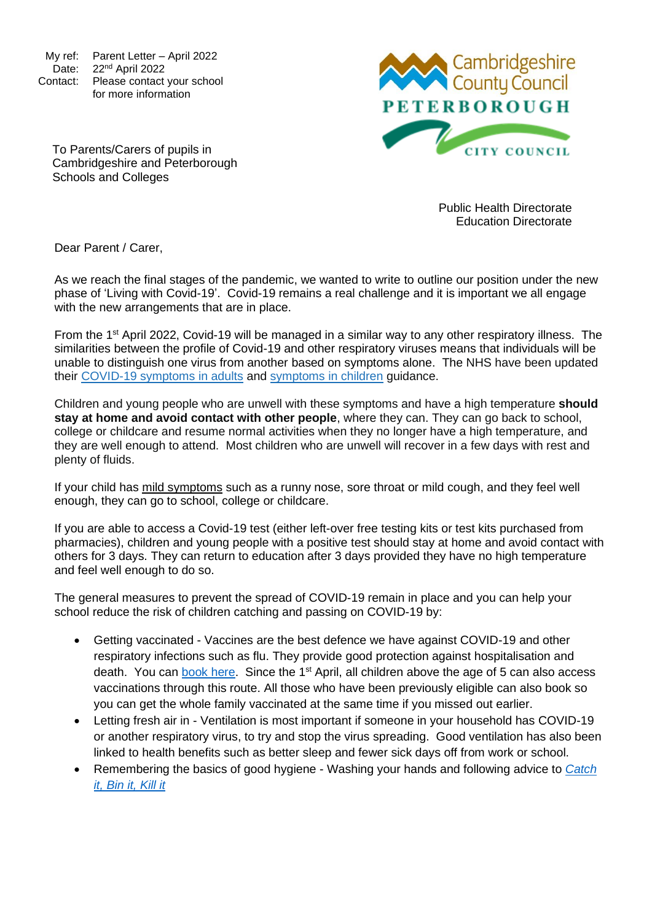My ref: Parent Letter – April 2022 Date: 22<sup>nd</sup> April 2022 Contact: Please contact your school for more information

Cambridgeshire<br>County Council **PETERBOROUGH CITY COUNCIL** 

To Parents/Carers of pupils in Cambridgeshire and Peterborough Schools and Colleges

> Public Health Directorate Education Directorate

Dear Parent / Carer,

As we reach the final stages of the pandemic, we wanted to write to outline our position under the new phase of 'Living with Covid-19'. Covid-19 remains a real challenge and it is important we all engage with the new arrangements that are in place.

From the 1<sup>st</sup> April 2022, Covid-19 will be managed in a similar way to any other respiratory illness. The similarities between the profile of Covid-19 and other respiratory viruses means that individuals will be unable to distinguish one virus from another based on symptoms alone. The NHS have been updated their [COVID-19 symptoms in adults](https://www.nhs.uk/conditions/coronavirus-covid-19/symptoms/main-symptoms/?utm_source=07%20April%202022%20C19&utm_medium=Daily%20Email%20C19&utm_campaign=DfE%20C19) and [symptoms in children](https://www.nhs.uk/conditions/coronavirus-covid-19/symptoms/coronavirus-in-children/?utm_source=07%20April%202022%20C19&utm_medium=Daily%20Email%20C19&utm_campaign=DfE%20C19) guidance.

Children and young people who are unwell with these symptoms and have a high temperature **should stay at home and avoid contact with other people**, where they can. They can go back to school, college or childcare and resume normal activities when they no longer have a high temperature, and they are well enough to attend. Most children who are unwell will recover in a few days with rest and plenty of fluids.

If your child has mild symptoms such as a runny nose, sore throat or mild cough, and they feel well enough, they can go to school, college or childcare.

If you are able to access a Covid-19 test (either left-over free testing kits or test kits purchased from pharmacies), children and young people with a positive test should stay at home and avoid contact with others for 3 days. They can return to education after 3 days provided they have no high temperature and feel well enough to do so.

The general measures to prevent the spread of COVID-19 remain in place and you can help your school reduce the risk of children catching and passing on COVID-19 by:

- Getting vaccinated Vaccines are the best defence we have against COVID-19 and other respiratory infections such as flu. They provide good protection against hospitalisation and death. You can [book here.](https://www.nhs.uk/conditions/coronavirus-covid-19/coronavirus-vaccination/book-coronavirus-vaccination/) Since the 1<sup>st</sup> April, all children above the age of 5 can also access vaccinations through this route. All those who have been previously eligible can also book so you can get the whole family vaccinated at the same time if you missed out earlier.
- Letting fresh air in Ventilation is most important if someone in your household has COVID-19 or another respiratory virus, to try and stop the virus spreading. Good ventilation has also been linked to health benefits such as better sleep and fewer sick days off from work or school.
- Remembering the basics of good hygiene Washing your hands and following advice to *[Catch](https://www.england.nhs.uk/south/wp-content/uploads/sites/6/2017/09/catch-bin-kill.pdf)  [it, Bin it, Kill it](https://www.england.nhs.uk/south/wp-content/uploads/sites/6/2017/09/catch-bin-kill.pdf)*